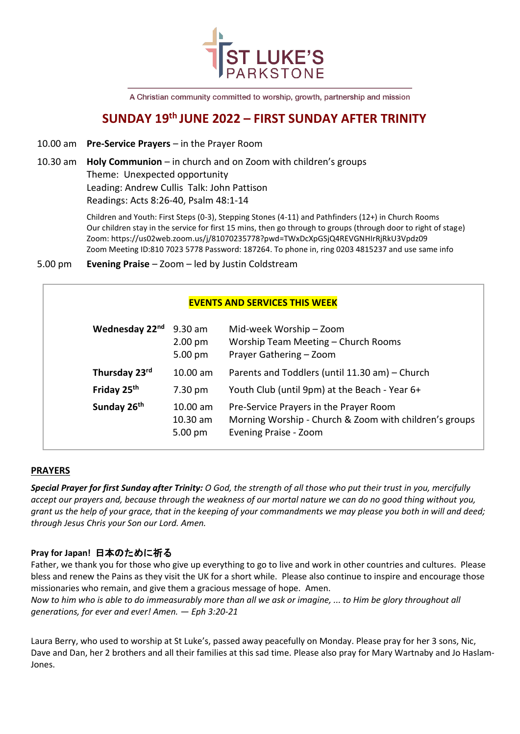

A Christian community committed to worship, growth, partnership and mission

# **SUNDAY 19 th JUNE 2022 – FIRST SUNDAY AFTER TRINITY**

10.00 am **Pre-Service Prayers** – in the Prayer Room

# 10.30 am **Holy Communion** – in church and on Zoom with children's groups Theme: Unexpected opportunity Leading: Andrew Cullis Talk: John Pattison Readings: Acts 8:26-40, Psalm 48:1-14

Children and Youth: First Steps (0-3), Stepping Stones (4-11) and Pathfinders (12+) in Church Rooms Our children stay in the service for first 15 mins, then go through to groups (through door to right of stage) Zoom: https://us02web.zoom.us/j/81070235778?pwd=TWxDcXpGSjQ4REVGNHIrRjRkU3Vpdz09 Zoom Meeting ID:810 7023 5778 Password: 187264. To phone in, ring 0203 4815237 and use same info

5.00 pm **Evening Praise** – Zoom – led by Justin Coldstream

# **EVENTS AND SERVICES THIS WEEK**

| Wednesday 22nd          | $9.30$ am<br>$2.00 \text{ pm}$<br>$5.00 \text{ pm}$ | Mid-week Worship - Zoom<br>Worship Team Meeting - Church Rooms<br>Prayer Gathering - Zoom                                 |
|-------------------------|-----------------------------------------------------|---------------------------------------------------------------------------------------------------------------------------|
| Thursday 23rd           | 10.00 am                                            | Parents and Toddlers (until 11.30 am) - Church                                                                            |
| Friday 25 <sup>th</sup> | $7.30 \text{ pm}$                                   | Youth Club (until 9pm) at the Beach - Year 6+                                                                             |
| Sunday 26th             | 10.00 am<br>10.30 am<br>$5.00 \text{ pm}$           | Pre-Service Prayers in the Prayer Room<br>Morning Worship - Church & Zoom with children's groups<br>Evening Praise - Zoom |

# **PRAYERS**

*Special Prayer for first Sunday after Trinity: O God, the strength of all those who put their trust in you, mercifully accept our prayers and, because through the weakness of our mortal nature we can do no good thing without you, grant us the help of your grace, that in the keeping of your commandments we may please you both in will and deed; through Jesus Chris your Son our Lord. Amen.*

# **Pray for Japan!** 日本のために祈る

Father, we thank you for those who give up everything to go to live and work in other countries and cultures. Please bless and renew the Pains as they visit the UK for a short while. Please also continue to inspire and encourage those missionaries who remain, and give them a gracious message of hope. Amen.

*Now to him who is able to do immeasurably more than all we ask or imagine, ... to Him be glory throughout all generations, for ever and ever! Amen. — Eph 3:20-21*

Laura Berry, who used to worship at St Luke's, passed away peacefully on Monday. Please pray for her 3 sons, Nic, Dave and Dan, her 2 brothers and all their families at this sad time. Please also pray for Mary Wartnaby and Jo Haslam-Jones.